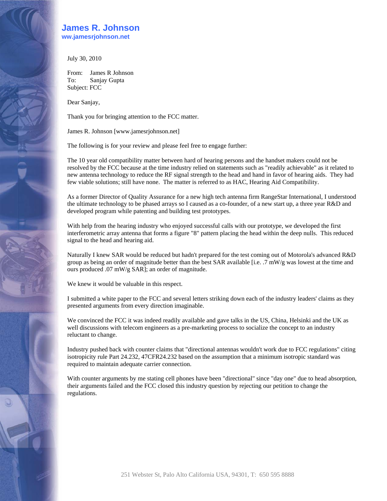## **James R. Johnson**

**www.jamesrjohnson.net** 

July 30, 2010

From: James R Johnson To: Sanjay Gupta Subject: FCC

Dear Sanjay,

Thank you for bringing attention to the FCC matter.

James R. Johnson [www.jamesrjohnson.net]

The following is for your review and please feel free to engage further:

The 10 year old compatibility matter between hard of hearing persons and the handset makers could not be resolved by the FCC because at the time industry relied on statements such as "readily achievable" as it related to new antenna technology to reduce the RF signal strength to the head and hand in favor of hearing aids. They had few viable solutions; still have none. The matter is referred to as HAC, Hearing Aid Compatibility.

As a former Director of Quality Assurance for a new high tech antenna firm RangeStar International, I understood the ultimate technology to be phased arrays so I caused as a co-founder, of a new start up, a three year R&D and developed program while patenting and building test prototypes.

With help from the hearing industry who enjoyed successful calls with our prototype, we developed the first interferometric array antenna that forms a figure "8" pattern placing the head within the deep nulls. This reduced signal to the head and hearing aid.

Naturally I knew SAR would be reduced but hadn't prepared for the test coming out of Motorola's advanced R&D group as being an order of magnitude better than the best SAR available [i.e. .7 mW/g was lowest at the time and ours produced .07 mW/g SAR]; an order of magnitude.

We knew it would be valuable in this respect.

I submitted a white paper to the FCC and several letters striking down each of the industry leaders' claims as they presented arguments from every direction imaginable.

We convinced the FCC it was indeed readily available and gave talks in the US, China, Helsinki and the UK as well discussions with telecom engineers as a pre-marketing process to socialize the concept to an industry reluctant to change.

Industry pushed back with counter claims that "directional antennas wouldn't work due to FCC regulations" citing isotropicity rule Part 24.232, 47CFR24.232 based on the assumption that a minimum isotropic standard was required to maintain adequate carrier connection.

With counter arguments by me stating cell phones have been "directional" since "day one" due to head absorption, their arguments failed and the FCC closed this industry question by rejecting our petition to change the regulations.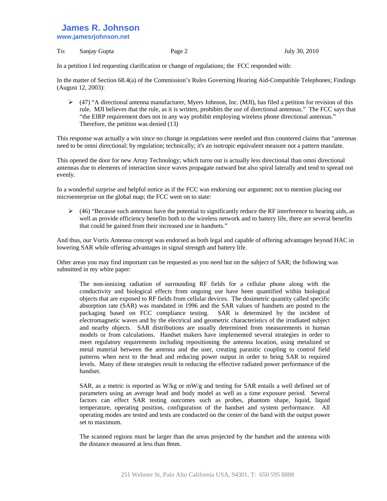## **James R. Johnson www.jamesrjohnson.net**

To: Sanjay Gupta Page 2 July 30, 2010

In a petition I led requesting clarification or change of regulations; the FCC responded with:

In the matter of Section 68.4(a) of the Commission's Rules Governing Hearing Aid-Compatible Telephones; Findings (August 12, 2003):

 $\blacktriangleright$  (47) "A directional antenna manufacturer, Myers Johnson, Inc. (MJI), has filed a petition for revision of this rule. MJI believes that the rule, as it is written, prohibits the use of directional antennas." The FCC says that "the EIRP requirement does not in any way prohibit employing wireless phone directional antennas." Therefore, the petition was denied (13)

This response was actually a win since no change in regulations were needed and thus countered claims that "antennas need to be omni directional; by regulation; technically; it's an isotropic equivalent measure not a pattern mandate.

This opened the door for new Array Technology; which turns out is actually less directional than omni directional antennas due to elements of interaction since waves propagate outward but also spiral laterally and tend to spread out evenly.

In a wonderful surprise and helpful notice as if the FCC was endorsing our argument; not to mention placing our microenterprise on the global map; the FCC went on to state:

 $\triangleright$  (46) "Because such antennas have the potential to significantly reduce the RF interference to hearing aids, as well as provide efficiency benefits both to the wireless network and to battery life, there are several benefits that could be gained from their increased use in handsets."

And thus, our Vortis Antenna concept was endorsed as both legal and capable of offering advantages beyond HAC in lowering SAR while offering advantages in signal strength and battery life.

Other areas you may find important can be requested as you need but on the subject of SAR; the following was submitted in my white paper:

The non-ionizing radiation of surrounding RF fields for a cellular phone along with the conductivity and biological effects from ongoing use have been quantified within biological objects that are exposed to RF fields from cellular devices. The dosimetric quantity called specific absorption rate (SAR) was mandated in 1996 and the SAR values of handsets are posted to the packaging based on FCC compliance testing. SAR is determined by the incident of electromagnetic waves and by the electrical and geometric characteristics of the irradiated subject and nearby objects. SAR distributions are usually determined from measurements in human models or from calculations. Handset makers have implemented several strategies in order to meet regulatory requirements including repositioning the antenna location, using metalized or metal material between the antenna and the user, creating parasitic coupling to control field patterns when next to the head and reducing power output in order to bring SAR to required levels. Many of these strategies result in reducing the effective radiated power performance of the handset.

SAR, as a metric is reported as W/kg or mW/g and testing for SAR entails a well defined set of parameters using an average head and body model as well as a time exposure period. Several factors can effect SAR testing outcomes such as probes, phantom shape, liquid, liquid temperature, operating position, configuration of the handset and system performance. All operating modes are tested and tests are conducted on the center of the band with the output power set to maximum.

The scanned regions must be larger than the areas projected by the handset and the antenna with the distance measured at less than 8mm.